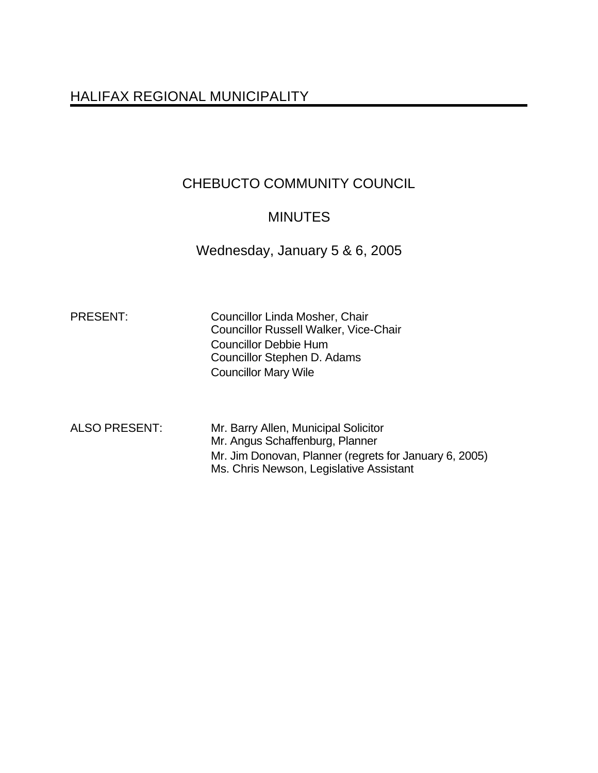# HALIFAX REGIONAL MUNICIPALITY

# CHEBUCTO COMMUNITY COUNCIL

# **MINUTES**

Wednesday, January 5 & 6, 2005

PRESENT: Councillor Linda Mosher, Chair Councillor Russell Walker, Vice-Chair Councillor Debbie Hum Councillor Stephen D. Adams Councillor Mary Wile

ALSO PRESENT: Mr. Barry Allen, Municipal Solicitor Mr. Angus Schaffenburg, Planner Mr. Jim Donovan, Planner (regrets for January 6, 2005) Ms. Chris Newson, Legislative Assistant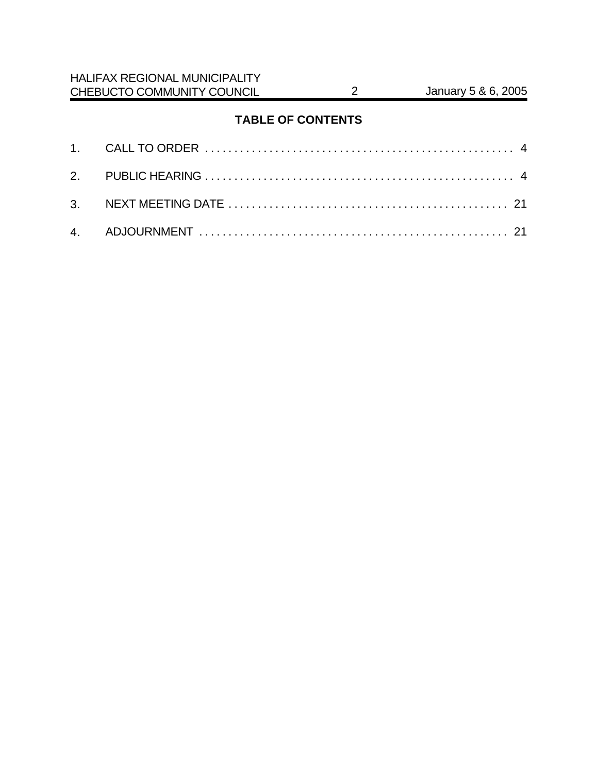# **TABLE OF CONTENTS**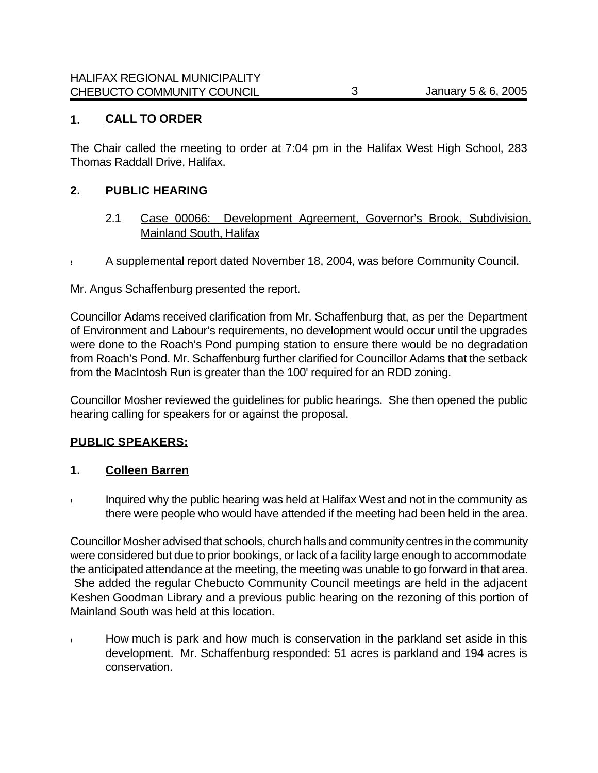## **1. CALL TO ORDER**

The Chair called the meeting to order at 7:04 pm in the Halifax West High School, 283 Thomas Raddall Drive, Halifax.

#### **2. PUBLIC HEARING**

- 2.1 Case 00066: Development Agreement, Governor's Brook, Subdivision, Mainland South, Halifax
- ! A supplemental report dated November 18, 2004, was before Community Council.

Mr. Angus Schaffenburg presented the report.

Councillor Adams received clarification from Mr. Schaffenburg that, as per the Department of Environment and Labour's requirements, no development would occur until the upgrades were done to the Roach's Pond pumping station to ensure there would be no degradation from Roach's Pond. Mr. Schaffenburg further clarified for Councillor Adams that the setback from the MacIntosh Run is greater than the 100' required for an RDD zoning.

Councillor Mosher reviewed the guidelines for public hearings. She then opened the public hearing calling for speakers for or against the proposal.

## **PUBLIC SPEAKERS:**

#### **1. Colleen Barren**

! Inquired why the public hearing was held at Halifax West and not in the community as there were people who would have attended if the meeting had been held in the area.

Councillor Mosher advised that schools, church halls and community centres in the community were considered but due to prior bookings, or lack of a facility large enough to accommodate the anticipated attendance at the meeting, the meeting was unable to go forward in that area. She added the regular Chebucto Community Council meetings are held in the adjacent Keshen Goodman Library and a previous public hearing on the rezoning of this portion of Mainland South was held at this location.

! How much is park and how much is conservation in the parkland set aside in this development. Mr. Schaffenburg responded: 51 acres is parkland and 194 acres is conservation.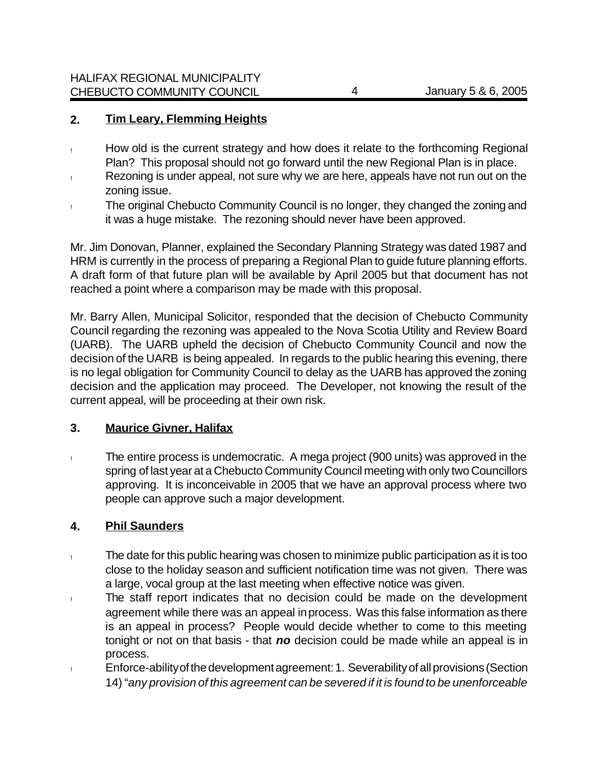## **2. Tim Leary, Flemming Heights**

- ! How old is the current strategy and how does it relate to the forthcoming Regional Plan? This proposal should not go forward until the new Regional Plan is in place.
- ! Rezoning is under appeal, not sure why we are here, appeals have not run out on the zoning issue.
- ! The original Chebucto Community Council is no longer, they changed the zoning and it was a huge mistake. The rezoning should never have been approved.

Mr. Jim Donovan, Planner, explained the Secondary Planning Strategy was dated 1987 and HRM is currently in the process of preparing a Regional Plan to guide future planning efforts. A draft form of that future plan will be available by April 2005 but that document has not reached a point where a comparison may be made with this proposal.

Mr. Barry Allen, Municipal Solicitor, responded that the decision of Chebucto Community Council regarding the rezoning was appealed to the Nova Scotia Utility and Review Board (UARB). The UARB upheld the decision of Chebucto Community Council and now the decision of the UARB is being appealed. In regards to the public hearing this evening, there is no legal obligation for Community Council to delay as the UARB has approved the zoning decision and the application may proceed. The Developer, not knowing the result of the current appeal, will be proceeding at their own risk.

## **3. Maurice Givner, Halifax**

! The entire process is undemocratic. A mega project (900 units) was approved in the spring of last year at a Chebucto Community Council meeting with only two Councillors approving. It is inconceivable in 2005 that we have an approval process where two people can approve such a major development.

## **4. Phil Saunders**

- ! The date for this public hearing was chosen to minimize public participation as it is too close to the holiday season and sufficient notification time was not given. There was a large, vocal group at the last meeting when effective notice was given.
- ! The staff report indicates that no decision could be made on the development agreement while there was an appeal in process. Was this false information as there is an appeal in process? People would decide whether to come to this meeting tonight or not on that basis - that *no* decision could be made while an appeal is in process.
- ! Enforce-ability of the development agreement: 1. Severability of all provisions (Section 14) "*any provision of this agreement can be severed if it is found to be unenforceable*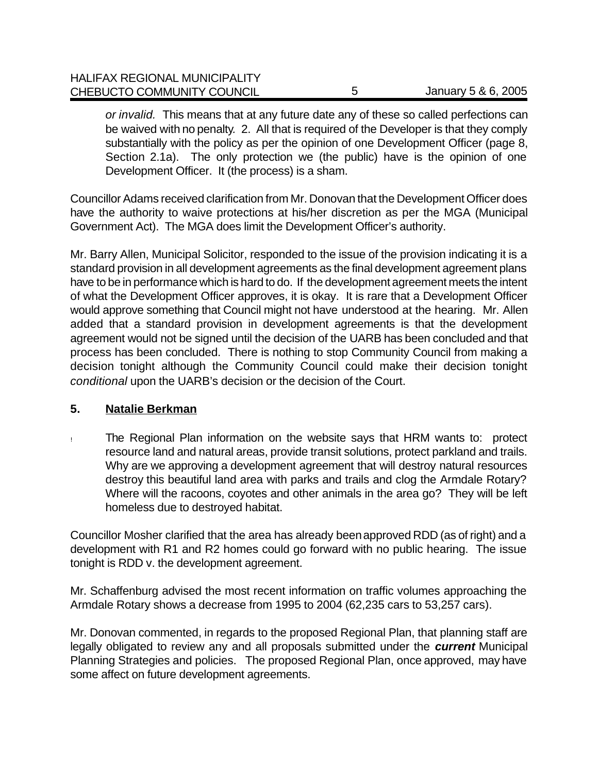| <b>HALIFAX REGIONAL MUNICIPALITY</b> |                     |
|--------------------------------------|---------------------|
| CHEBUCTO COMMUNITY COUNCIL           | January 5 & 6, 2005 |

*or invalid.* This means that at any future date any of these so called perfections can be waived with no penalty*.* 2. All that is required of the Developer is that they comply substantially with the policy as per the opinion of one Development Officer (page 8, Section 2.1a). The only protection we (the public) have is the opinion of one Development Officer. It (the process) is a sham.

Councillor Adams received clarification from Mr. Donovan that the Development Officer does have the authority to waive protections at his/her discretion as per the MGA (Municipal Government Act). The MGA does limit the Development Officer's authority.

Mr. Barry Allen, Municipal Solicitor, responded to the issue of the provision indicating it is a standard provision in all development agreements as the final development agreement plans have to be in performance which is hard to do. If the development agreement meets the intent of what the Development Officer approves, it is okay. It is rare that a Development Officer would approve something that Council might not have understood at the hearing. Mr. Allen added that a standard provision in development agreements is that the development agreement would not be signed until the decision of the UARB has been concluded and that process has been concluded. There is nothing to stop Community Council from making a decision tonight although the Community Council could make their decision tonight *conditional* upon the UARB's decision or the decision of the Court.

#### **5. Natalie Berkman**

! The Regional Plan information on the website says that HRM wants to: protect resource land and natural areas, provide transit solutions, protect parkland and trails. Why are we approving a development agreement that will destroy natural resources destroy this beautiful land area with parks and trails and clog the Armdale Rotary? Where will the racoons, coyotes and other animals in the area go? They will be left homeless due to destroyed habitat.

Councillor Mosher clarified that the area has already been approved RDD (as of right) and a development with R1 and R2 homes could go forward with no public hearing. The issue tonight is RDD v. the development agreement.

Mr. Schaffenburg advised the most recent information on traffic volumes approaching the Armdale Rotary shows a decrease from 1995 to 2004 (62,235 cars to 53,257 cars).

Mr. Donovan commented, in regards to the proposed Regional Plan, that planning staff are legally obligated to review any and all proposals submitted under the *current* Municipal Planning Strategies and policies. The proposed Regional Plan, once approved, may have some affect on future development agreements.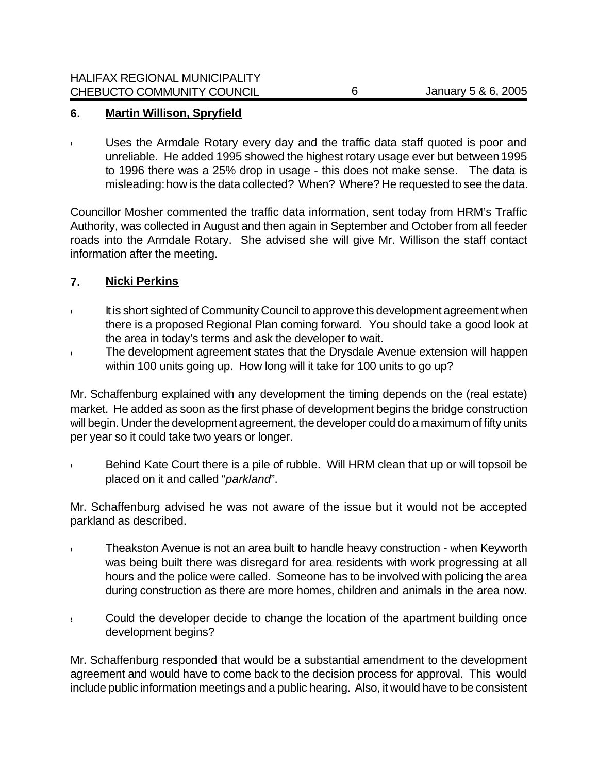#### **6. Martin Willison, Spryfield**

! Uses the Armdale Rotary every day and the traffic data staff quoted is poor and unreliable. He added 1995 showed the highest rotary usage ever but between 1995 to 1996 there was a 25% drop in usage - this does not make sense. The data is misleading: how is the data collected? When? Where? He requested to see the data.

Councillor Mosher commented the traffic data information, sent today from HRM's Traffic Authority, was collected in August and then again in September and October from all feeder roads into the Armdale Rotary. She advised she will give Mr. Willison the staff contact information after the meeting.

#### **7. Nicki Perkins**

- ! It is short sighted of Community Council to approve this development agreement when there is a proposed Regional Plan coming forward. You should take a good look at the area in today's terms and ask the developer to wait.
- ! The development agreement states that the Drysdale Avenue extension will happen within 100 units going up. How long will it take for 100 units to go up?

Mr. Schaffenburg explained with any development the timing depends on the (real estate) market. He added as soon as the first phase of development begins the bridge construction will begin. Under the development agreement, the developer could do a maximum of fifty units per year so it could take two years or longer.

! Behind Kate Court there is a pile of rubble. Will HRM clean that up or will topsoil be placed on it and called "*parkland*".

Mr. Schaffenburg advised he was not aware of the issue but it would not be accepted parkland as described.

- ! Theakston Avenue is not an area built to handle heavy construction when Keyworth was being built there was disregard for area residents with work progressing at all hours and the police were called. Someone has to be involved with policing the area during construction as there are more homes, children and animals in the area now.
- ! Could the developer decide to change the location of the apartment building once development begins?

Mr. Schaffenburg responded that would be a substantial amendment to the development agreement and would have to come back to the decision process for approval. This would include public information meetings and a public hearing. Also, it would have to be consistent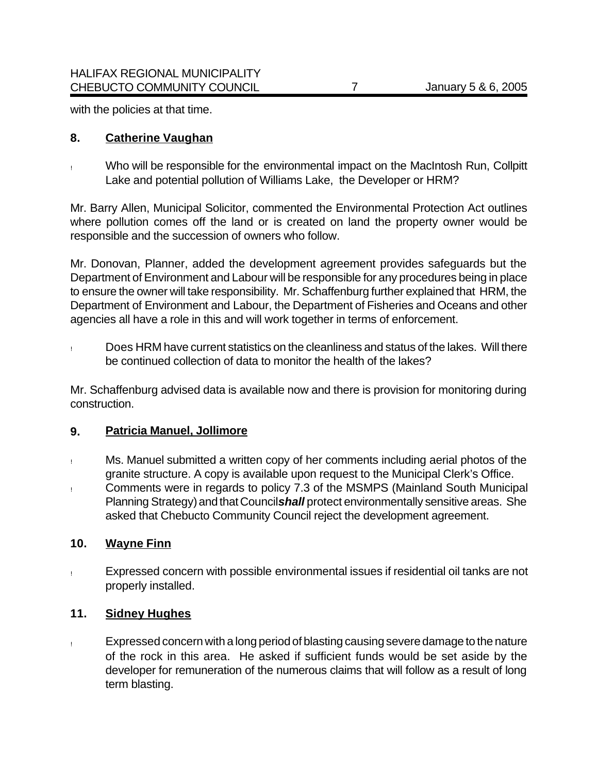with the policies at that time.

#### **8. Catherine Vaughan**

! Who will be responsible for the environmental impact on the MacIntosh Run, Collpitt Lake and potential pollution of Williams Lake, the Developer or HRM?

Mr. Barry Allen, Municipal Solicitor, commented the Environmental Protection Act outlines where pollution comes off the land or is created on land the property owner would be responsible and the succession of owners who follow.

Mr. Donovan, Planner, added the development agreement provides safeguards but the Department of Environment and Labour will be responsible for any procedures being in place to ensure the owner will take responsibility. Mr. Schaffenburg further explained that HRM, the Department of Environment and Labour, the Department of Fisheries and Oceans and other agencies all have a role in this and will work together in terms of enforcement.

! Does HRM have current statistics on the cleanliness and status of the lakes. Will there be continued collection of data to monitor the health of the lakes?

Mr. Schaffenburg advised data is available now and there is provision for monitoring during construction.

#### **9. Patricia Manuel, Jollimore**

- ! Ms. Manuel submitted a written copy of her comments including aerial photos of the granite structure. A copy is available upon request to the Municipal Clerk's Office.
- ! Comments were in regards to policy 7.3 of the MSMPS (Mainland South Municipal Planning Strategy) and that Council *shall* protect environmentally sensitive areas. She asked that Chebucto Community Council reject the development agreement.

## **10. Wayne Finn**

! Expressed concern with possible environmental issues if residential oil tanks are not properly installed.

## **11. Sidney Hughes**

! Expressed concern with a long period of blasting causing severe damage to the nature of the rock in this area. He asked if sufficient funds would be set aside by the developer for remuneration of the numerous claims that will follow as a result of long term blasting.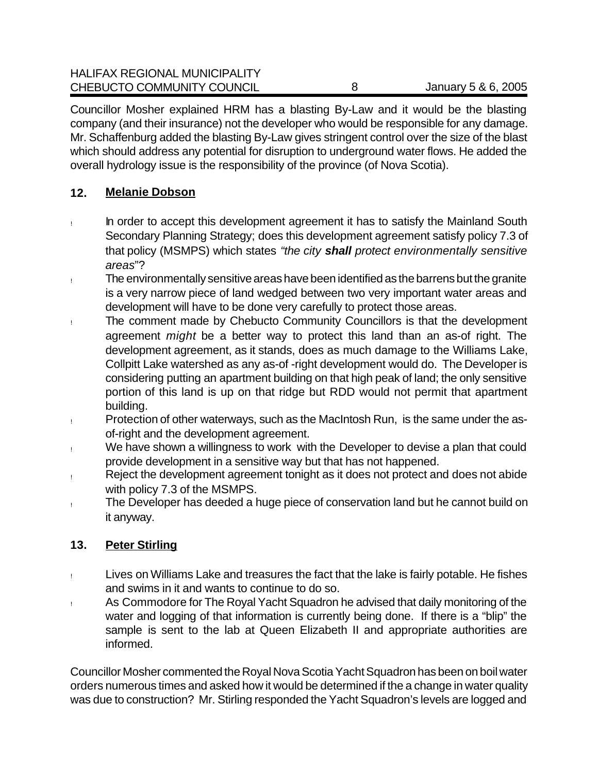Councillor Mosher explained HRM has a blasting By-Law and it would be the blasting company (and their insurance) not the developer who would be responsible for any damage. Mr. Schaffenburg added the blasting By-Law gives stringent control over the size of the blast which should address any potential for disruption to underground water flows. He added the overall hydrology issue is the responsibility of the province (of Nova Scotia).

# **12. Melanie Dobson**

- ! In order to accept this development agreement it has to satisfy the Mainland South Secondary Planning Strategy; does this development agreement satisfy policy 7.3 of that policy (MSMPS) which states *"the city shall protect environmentally sensitive areas*"?
- ! The environmentally sensitive areas have been identified as the barrens but the granite is a very narrow piece of land wedged between two very important water areas and development will have to be done very carefully to protect those areas.
- ! The comment made by Chebucto Community Councillors is that the development agreement *might* be a better way to protect this land than an as-of right. The development agreement, as it stands, does as much damage to the Williams Lake, Collpitt Lake watershed as any as-of -right development would do. The Developer is considering putting an apartment building on that high peak of land; the only sensitive portion of this land is up on that ridge but RDD would not permit that apartment building.
- ! Protection of other waterways, such as the MacIntosh Run, is the same under the asof-right and the development agreement.
- ! We have shown a willingness to work with the Developer to devise a plan that could provide development in a sensitive way but that has not happened.
- ! Reject the development agreement tonight as it does not protect and does not abide with policy 7.3 of the MSMPS.
- ! The Developer has deeded a huge piece of conservation land but he cannot build on it anyway.

# **13. Peter Stirling**

- ! Lives on Williams Lake and treasures the fact that the lake is fairly potable. He fishes and swims in it and wants to continue to do so.
- ! As Commodore for The Royal Yacht Squadron he advised that daily monitoring of the water and logging of that information is currently being done. If there is a "blip" the sample is sent to the lab at Queen Elizabeth II and appropriate authorities are informed.

Councillor Mosher commented the Royal Nova Scotia Yacht Squadron has been on boil water orders numerous times and asked how it would be determined if the a change in water quality was due to construction? Mr. Stirling responded the Yacht Squadron's levels are logged and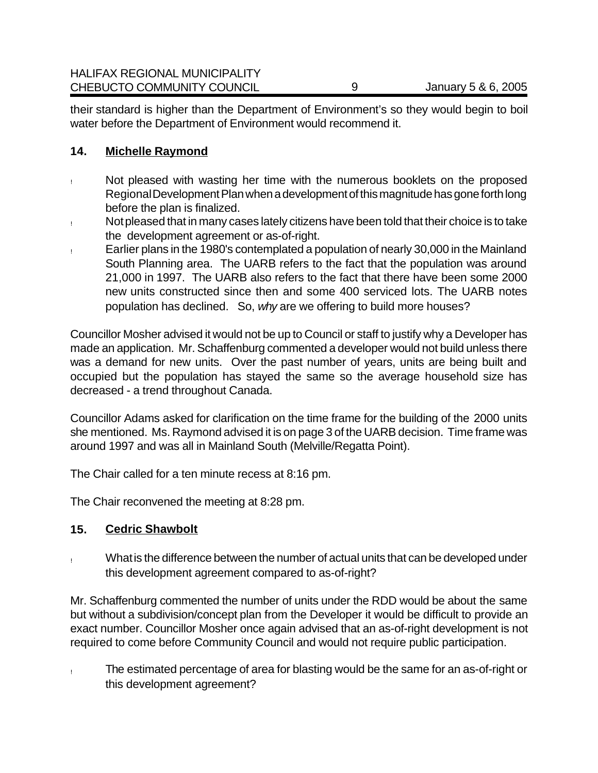their standard is higher than the Department of Environment's so they would begin to boil water before the Department of Environment would recommend it.

## **14. Michelle Raymond**

- ! Not pleased with wasting her time with the numerous booklets on the proposed Regional Development Plan when a development of this magnitude has gone forth long before the plan is finalized.
- ! Not pleased that in many cases lately citizens have been told that their choice is to take the development agreement or as-of-right.
- ! Earlier plans in the 1980's contemplated a population of nearly 30,000 in the Mainland South Planning area. The UARB refers to the fact that the population was around 21,000 in 1997. The UARB also refers to the fact that there have been some 2000 new units constructed since then and some 400 serviced lots. The UARB notes population has declined. So, *why* are we offering to build more houses?

Councillor Mosher advised it would not be up to Council or staff to justify why a Developer has made an application. Mr. Schaffenburg commented a developer would not build unless there was a demand for new units. Over the past number of years, units are being built and occupied but the population has stayed the same so the average household size has decreased - a trend throughout Canada.

Councillor Adams asked for clarification on the time frame for the building of the 2000 units she mentioned. Ms. Raymond advised it is on page 3 of the UARB decision. Time frame was around 1997 and was all in Mainland South (Melville/Regatta Point).

The Chair called for a ten minute recess at 8:16 pm.

The Chair reconvened the meeting at 8:28 pm.

## **15. Cedric Shawbolt**

! What is the difference between the number of actual units that can be developed under this development agreement compared to as-of-right?

Mr. Schaffenburg commented the number of units under the RDD would be about the same but without a subdivision/concept plan from the Developer it would be difficult to provide an exact number. Councillor Mosher once again advised that an as-of-right development is not required to come before Community Council and would not require public participation.

! The estimated percentage of area for blasting would be the same for an as-of-right or this development agreement?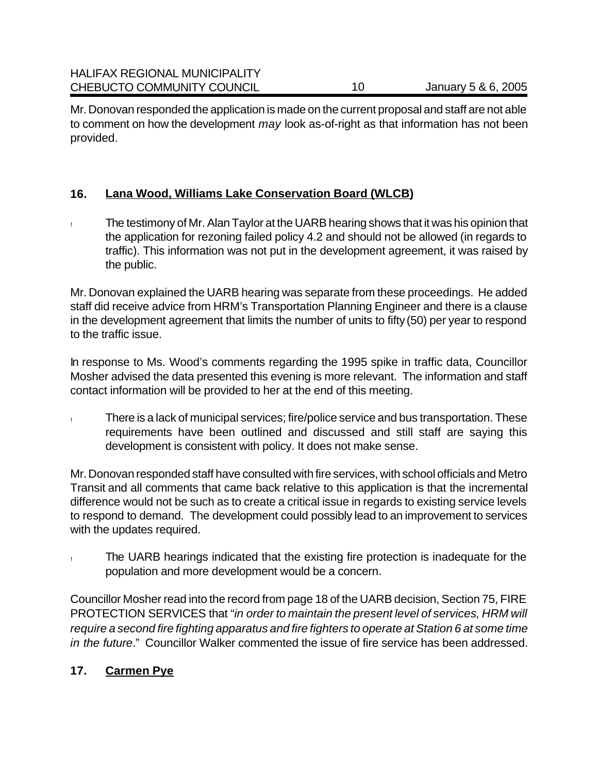Mr. Donovan responded the application is made on the current proposal and staff are not able to comment on how the development *may* look as-of-right as that information has not been provided.

## **16. Lana Wood, Williams Lake Conservation Board (WLCB)**

! The testimony of Mr. Alan Taylor at the UARB hearing shows that it was his opinion that the application for rezoning failed policy 4.2 and should not be allowed (in regards to traffic). This information was not put in the development agreement, it was raised by the public.

Mr. Donovan explained the UARB hearing was separate from these proceedings. He added staff did receive advice from HRM's Transportation Planning Engineer and there is a clause in the development agreement that limits the number of units to fifty (50) per year to respond to the traffic issue.

In response to Ms. Wood's comments regarding the 1995 spike in traffic data, Councillor Mosher advised the data presented this evening is more relevant. The information and staff contact information will be provided to her at the end of this meeting.

! There is a lack of municipal services; fire/police service and bus transportation. These requirements have been outlined and discussed and still staff are saying this development is consistent with policy. It does not make sense.

Mr. Donovan responded staff have consulted with fire services, with school officials and Metro Transit and all comments that came back relative to this application is that the incremental difference would not be such as to create a critical issue in regards to existing service levels to respond to demand. The development could possibly lead to an improvement to services with the updates required.

! The UARB hearings indicated that the existing fire protection is inadequate for the population and more development would be a concern.

Councillor Mosher read into the record from page 18 of the UARB decision, Section 75, FIRE PROTECTION SERVICES that "*in order to maintain the present level of services, HRM will require a second fire fighting apparatus and fire fighters to operate at Station 6 at some time in the future*." Councillor Walker commented the issue of fire service has been addressed.

# **17. Carmen Pye**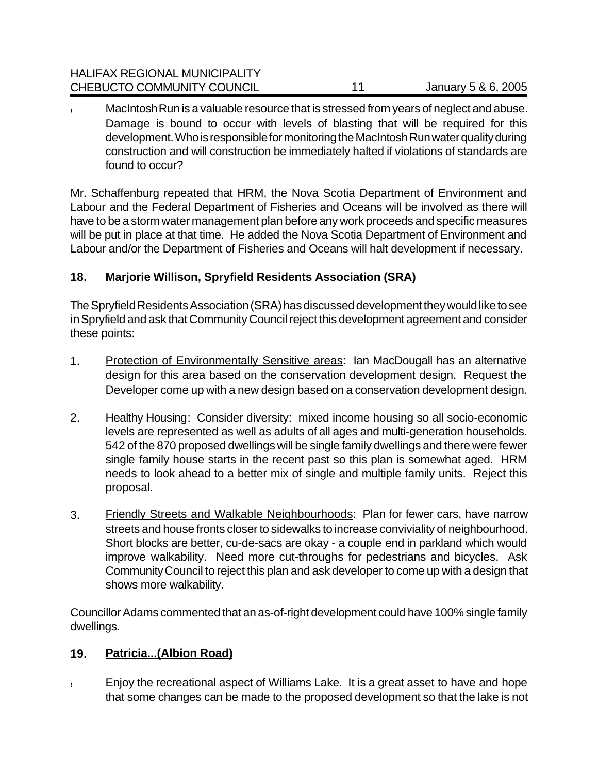MacIntosh Run is a valuable resource that is stressed from years of neglect and abuse. Damage is bound to occur with levels of blasting that will be required for this development. Who is responsible for monitoring the MacIntosh Run water quality during construction and will construction be immediately halted if violations of standards are found to occur?

Mr. Schaffenburg repeated that HRM, the Nova Scotia Department of Environment and Labour and the Federal Department of Fisheries and Oceans will be involved as there will have to be a storm water management plan before any work proceeds and specific measures will be put in place at that time. He added the Nova Scotia Department of Environment and Labour and/or the Department of Fisheries and Oceans will halt development if necessary.

# **18. Marjorie Willison, Spryfield Residents Association (SRA)**

The Spryfield Residents Association (SRA) has discussed development they would like to see in Spryfield and ask that Community Council reject this development agreement and consider these points:

- 1. Protection of Environmentally Sensitive areas: Ian MacDougall has an alternative design for this area based on the conservation development design. Request the Developer come up with a new design based on a conservation development design.
- 2. Healthy Housing: Consider diversity: mixed income housing so all socio-economic levels are represented as well as adults of all ages and multi-generation households. 542 of the 870 proposed dwellings will be single family dwellings and there were fewer single family house starts in the recent past so this plan is somewhat aged. HRM needs to look ahead to a better mix of single and multiple family units. Reject this proposal.
- 3. Friendly Streets and Walkable Neighbourhoods: Plan for fewer cars, have narrow streets and house fronts closer to sidewalks to increase conviviality of neighbourhood. Short blocks are better, cu-de-sacs are okay - a couple end in parkland which would improve walkability. Need more cut-throughs for pedestrians and bicycles. Ask Community Council to reject this plan and ask developer to come up with a design that shows more walkability.

Councillor Adams commented that an as-of-right development could have 100% single family dwellings.

# **19. Patricia...(Albion Road)**

! Enjoy the recreational aspect of Williams Lake. It is a great asset to have and hope that some changes can be made to the proposed development so that the lake is not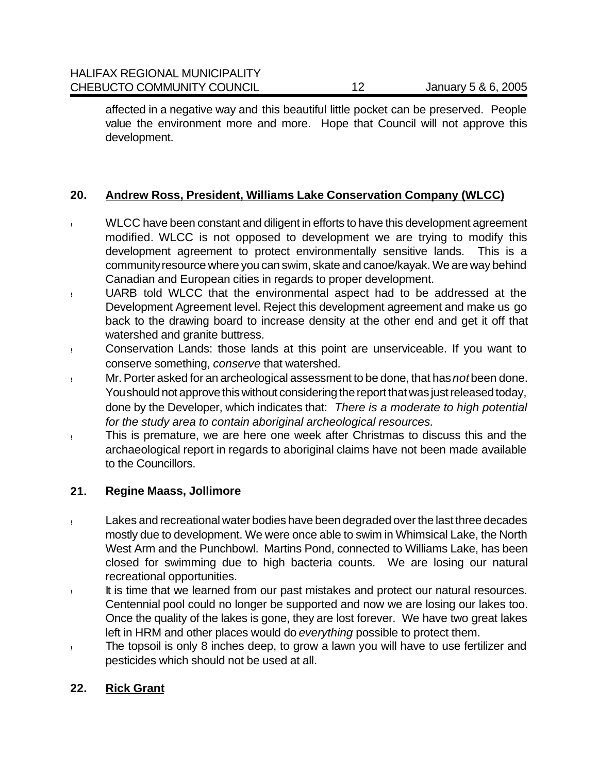affected in a negative way and this beautiful little pocket can be preserved. People value the environment more and more. Hope that Council will not approve this development.

## **20. Andrew Ross, President, Williams Lake Conservation Company (WLCC)**

- ! WLCC have been constant and diligent in efforts to have this development agreement modified. WLCC is not opposed to development we are trying to modify this development agreement to protect environmentally sensitive lands. This is a community resource where you can swim, skate and canoe/kayak. We are way behind Canadian and European cities in regards to proper development.
- ! UARB told WLCC that the environmental aspect had to be addressed at the Development Agreement level. Reject this development agreement and make us go back to the drawing board to increase density at the other end and get it off that watershed and granite buttress.
- ! Conservation Lands: those lands at this point are unserviceable. If you want to conserve something, *conserve* that watershed.
- ! Mr. Porter asked for an archeological assessment to be done, that has *not* been done. You should not approve this without considering the report that was just released today, done by the Developer, which indicates that: *There is a moderate to high potential for the study area to contain aboriginal archeological resources.*
- ! This is premature, we are here one week after Christmas to discuss this and the archaeological report in regards to aboriginal claims have not been made available to the Councillors.

## **21. Regine Maass, Jollimore**

- ! Lakes and recreational water bodies have been degraded over the last three decades mostly due to development. We were once able to swim in Whimsical Lake, the North West Arm and the Punchbowl. Martins Pond, connected to Williams Lake, has been closed for swimming due to high bacteria counts. We are losing our natural recreational opportunities.
- ! It is time that we learned from our past mistakes and protect our natural resources. Centennial pool could no longer be supported and now we are losing our lakes too. Once the quality of the lakes is gone, they are lost forever. We have two great lakes left in HRM and other places would do *everything* possible to protect them.
- ! The topsoil is only 8 inches deep, to grow a lawn you will have to use fertilizer and pesticides which should not be used at all.

# **22. Rick Grant**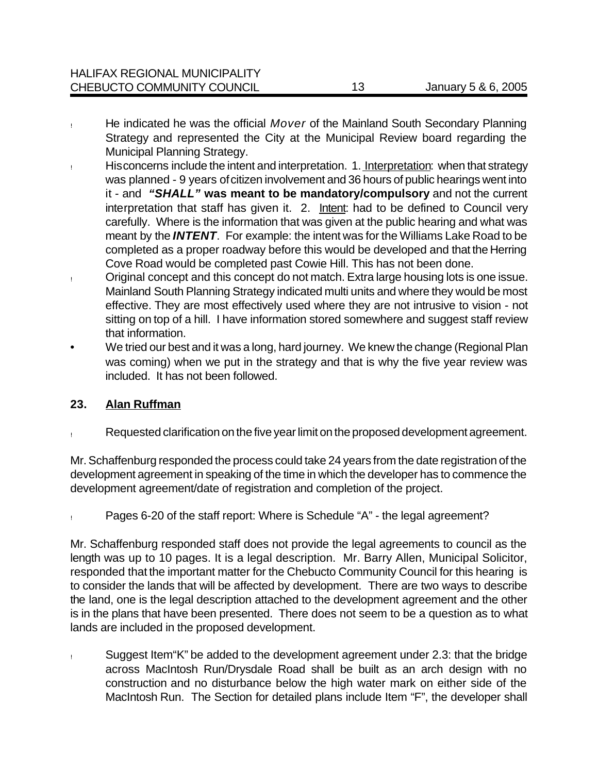- ! He indicated he was the official *Mover* of the Mainland South Secondary Planning Strategy and represented the City at the Municipal Review board regarding the Municipal Planning Strategy.
- **Hisconcerns include the intent and interpretation. 1. Interpretation: when that strategy** was planned - 9 years of citizen involvement and 36 hours of public hearings went into it - and *"SHALL"* **was meant to be mandatory/compulsory** and not the current interpretation that staff has given it. 2. Intent: had to be defined to Council very carefully. Where is the information that was given at the public hearing and what was meant by the *INTENT*. For example: the intent was for the Williams Lake Road to be completed as a proper roadway before this would be developed and that the Herring Cove Road would be completed past Cowie Hill. This has not been done.
- ! Original concept and this concept do not match. Extra large housing lots is one issue. Mainland South Planning Strategy indicated multi units and where they would be most effective. They are most effectively used where they are not intrusive to vision - not sitting on top of a hill. I have information stored somewhere and suggest staff review that information.
- We tried our best and it was a long, hard journey. We knew the change (Regional Plan was coming) when we put in the strategy and that is why the five year review was included. It has not been followed.

# **23. Alan Ruffman**

! Requested clarification on the five year limit on the proposed development agreement.

Mr. Schaffenburg responded the process could take 24 years from the date registration of the development agreement in speaking of the time in which the developer has to commence the development agreement/date of registration and completion of the project.

! Pages 6-20 of the staff report: Where is Schedule "A" - the legal agreement?

Mr. Schaffenburg responded staff does not provide the legal agreements to council as the length was up to 10 pages. It is a legal description. Mr. Barry Allen, Municipal Solicitor, responded that the important matter for the Chebucto Community Council for this hearing is to consider the lands that will be affected by development. There are two ways to describe the land, one is the legal description attached to the development agreement and the other is in the plans that have been presented. There does not seem to be a question as to what lands are included in the proposed development.

! Suggest Item"K" be added to the development agreement under 2.3: that the bridge across MacIntosh Run/Drysdale Road shall be built as an arch design with no construction and no disturbance below the high water mark on either side of the MacIntosh Run. The Section for detailed plans include Item "F", the developer shall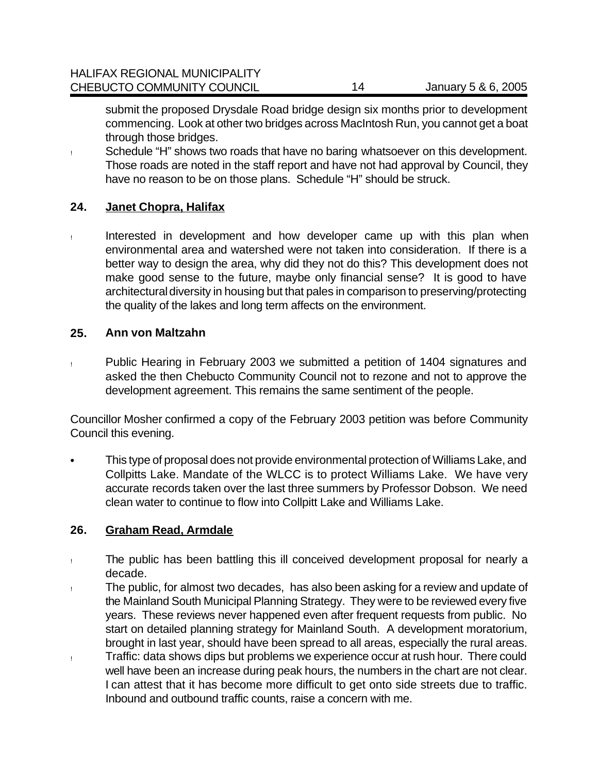submit the proposed Drysdale Road bridge design six months prior to development commencing. Look at other two bridges across MacIntosh Run, you cannot get a boat through those bridges.

! Schedule "H" shows two roads that have no baring whatsoever on this development. Those roads are noted in the staff report and have not had approval by Council, they have no reason to be on those plans. Schedule "H" should be struck.

#### **24. Janet Chopra, Halifax**

! Interested in development and how developer came up with this plan when environmental area and watershed were not taken into consideration. If there is a better way to design the area, why did they not do this? This development does not make good sense to the future, maybe only financial sense? It is good to have architectural diversity in housing but that pales in comparison to preserving/protecting the quality of the lakes and long term affects on the environment.

#### **25. Ann von Maltzahn**

! Public Hearing in February 2003 we submitted a petition of 1404 signatures and asked the then Chebucto Community Council not to rezone and not to approve the development agreement. This remains the same sentiment of the people.

Councillor Mosher confirmed a copy of the February 2003 petition was before Community Council this evening.

• This type of proposal does not provide environmental protection of Williams Lake, and Collpitts Lake. Mandate of the WLCC is to protect Williams Lake. We have very accurate records taken over the last three summers by Professor Dobson. We need clean water to continue to flow into Collpitt Lake and Williams Lake.

## **26. Graham Read, Armdale**

- ! The public has been battling this ill conceived development proposal for nearly a decade.
- ! The public, for almost two decades, has also been asking for a review and update of the Mainland South Municipal Planning Strategy. They were to be reviewed every five years. These reviews never happened even after frequent requests from public. No start on detailed planning strategy for Mainland South. A development moratorium, brought in last year, should have been spread to all areas, especially the rural areas.
- ! Traffic: data shows dips but problems we experience occur at rush hour. There could well have been an increase during peak hours, the numbers in the chart are not clear. I can attest that it has become more difficult to get onto side streets due to traffic. Inbound and outbound traffic counts, raise a concern with me.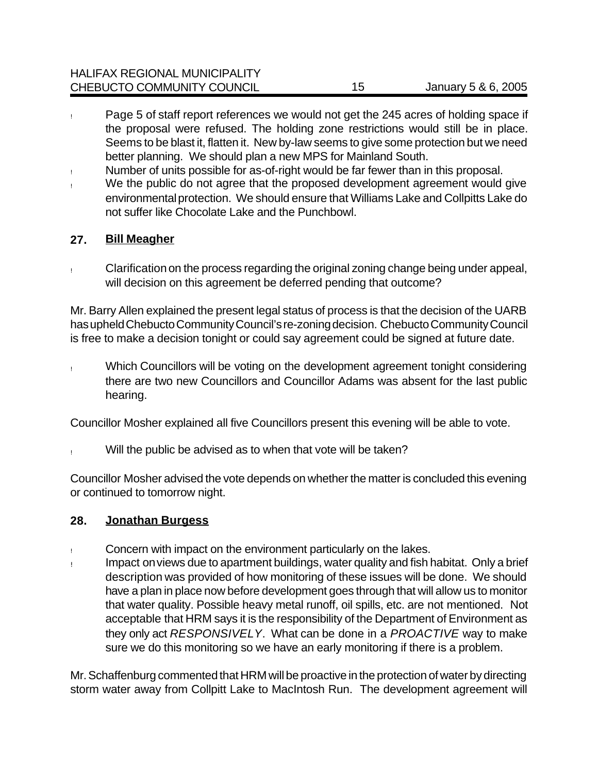| <b>HALIFAX REGIONAL MUNICIPALITY</b> |    |                     |
|--------------------------------------|----|---------------------|
| CHEBUCTO COMMUNITY COUNCIL           | 15 | January 5 & 6, 2005 |

- ! Page 5 of staff report references we would not get the 245 acres of holding space if the proposal were refused. The holding zone restrictions would still be in place. Seems to be blast it, flatten it. New by-law seems to give some protection but we need better planning. We should plan a new MPS for Mainland South.
- ! Number of units possible for as-of-right would be far fewer than in this proposal.
- ! We the public do not agree that the proposed development agreement would give environmental protection. We should ensure that Williams Lake and Collpitts Lake do not suffer like Chocolate Lake and the Punchbowl.

#### **27. Bill Meagher**

! Clarification on the process regarding the original zoning change being under appeal, will decision on this agreement be deferred pending that outcome?

Mr. Barry Allen explained the present legal status of process is that the decision of the UARB has upheld Chebucto Community Council's re-zoning decision. Chebucto Community Council is free to make a decision tonight or could say agreement could be signed at future date.

! Which Councillors will be voting on the development agreement tonight considering there are two new Councillors and Councillor Adams was absent for the last public hearing.

Councillor Mosher explained all five Councillors present this evening will be able to vote.

Will the public be advised as to when that vote will be taken?

Councillor Mosher advised the vote depends on whether the matter is concluded this evening or continued to tomorrow night.

#### **28. Jonathan Burgess**

- ! Concern with impact on the environment particularly on the lakes.
- ! Impact on views due to apartment buildings, water quality and fish habitat. Only a brief description was provided of how monitoring of these issues will be done. We should have a plan in place now before development goes through that will allow us to monitor that water quality. Possible heavy metal runoff, oil spills, etc. are not mentioned. Not acceptable that HRM says it is the responsibility of the Department of Environment as they only act *RESPONSIVELY*. What can be done in a *PROACTIVE* way to make sure we do this monitoring so we have an early monitoring if there is a problem.

Mr. Schaffenburg commented that HRM will be proactive in the protection of water by directing storm water away from Collpitt Lake to MacIntosh Run. The development agreement will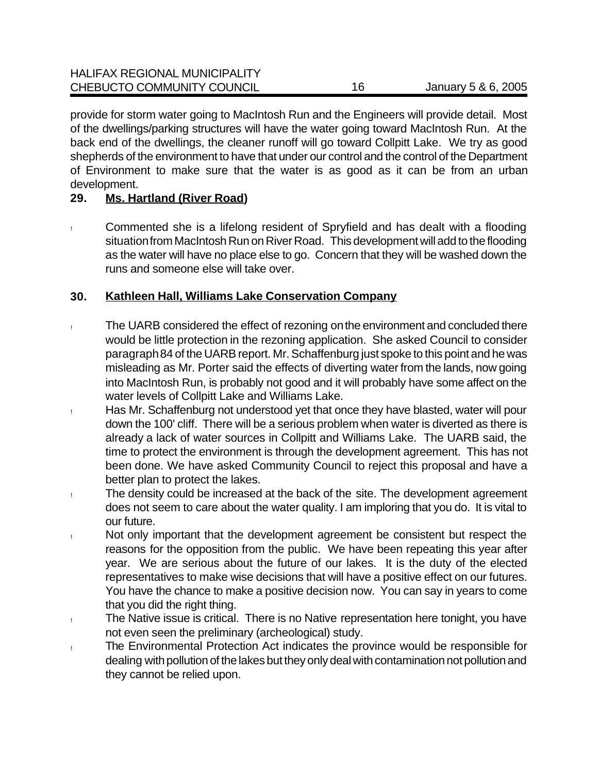provide for storm water going to MacIntosh Run and the Engineers will provide detail. Most of the dwellings/parking structures will have the water going toward MacIntosh Run. At the back end of the dwellings, the cleaner runoff will go toward Collpitt Lake. We try as good shepherds of the environment to have that under our control and the control of the Department of Environment to make sure that the water is as good as it can be from an urban development.

## **29. Ms. Hartland (River Road)**

! Commented she is a lifelong resident of Spryfield and has dealt with a flooding situation from MacIntosh Run on River Road. This development will add to the flooding as the water will have no place else to go. Concern that they will be washed down the runs and someone else will take over.

## **30. Kathleen Hall, Williams Lake Conservation Company**

- ! The UARB considered the effect of rezoning on the environment and concluded there would be little protection in the rezoning application. She asked Council to consider paragraph 84 of the UARB report. Mr. Schaffenburg just spoke to this point and he was misleading as Mr. Porter said the effects of diverting water from the lands, now going into MacIntosh Run, is probably not good and it will probably have some affect on the water levels of Collpitt Lake and Williams Lake.
- ! Has Mr. Schaffenburg not understood yet that once they have blasted, water will pour down the 100' cliff. There will be a serious problem when water is diverted as there is already a lack of water sources in Collpitt and Williams Lake. The UARB said, the time to protect the environment is through the development agreement. This has not been done. We have asked Community Council to reject this proposal and have a better plan to protect the lakes.
- ! The density could be increased at the back of the site. The development agreement does not seem to care about the water quality. I am imploring that you do. It is vital to our future.
- ! Not only important that the development agreement be consistent but respect the reasons for the opposition from the public. We have been repeating this year after year. We are serious about the future of our lakes. It is the duty of the elected representatives to make wise decisions that will have a positive effect on our futures. You have the chance to make a positive decision now. You can say in years to come that you did the right thing.
- ! The Native issue is critical. There is no Native representation here tonight, you have not even seen the preliminary (archeological) study.
- ! The Environmental Protection Act indicates the province would be responsible for dealing with pollution of the lakes but they only deal with contamination not pollution and they cannot be relied upon.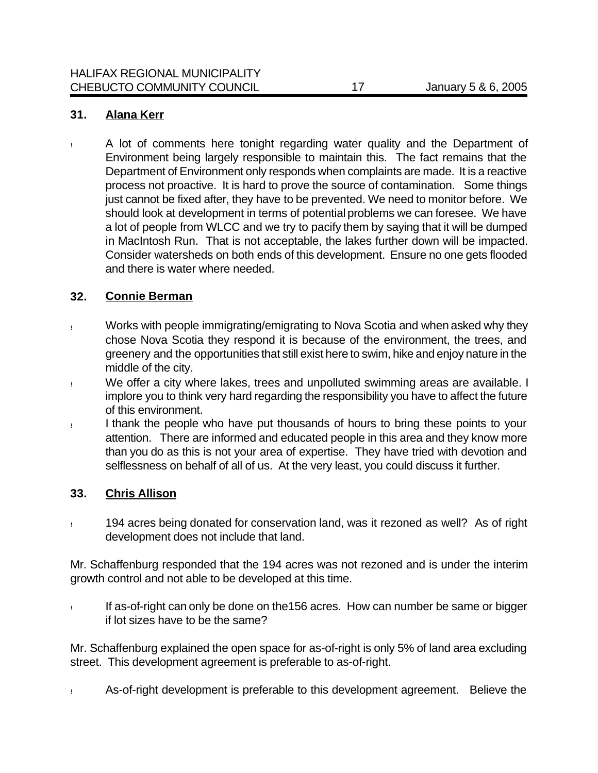#### **31. Alana Kerr**

! A lot of comments here tonight regarding water quality and the Department of Environment being largely responsible to maintain this. The fact remains that the Department of Environment only responds when complaints are made. It is a reactive process not proactive. It is hard to prove the source of contamination. Some things just cannot be fixed after, they have to be prevented. We need to monitor before. We should look at development in terms of potential problems we can foresee. We have a lot of people from WLCC and we try to pacify them by saying that it will be dumped in MacIntosh Run. That is not acceptable, the lakes further down will be impacted. Consider watersheds on both ends of this development. Ensure no one gets flooded and there is water where needed.

## **32. Connie Berman**

- ! Works with people immigrating/emigrating to Nova Scotia and when asked why they chose Nova Scotia they respond it is because of the environment, the trees, and greenery and the opportunities that still exist here to swim, hike and enjoy nature in the middle of the city.
- ! We offer a city where lakes, trees and unpolluted swimming areas are available. I implore you to think very hard regarding the responsibility you have to affect the future of this environment.
- ! I thank the people who have put thousands of hours to bring these points to your attention. There are informed and educated people in this area and they know more than you do as this is not your area of expertise. They have tried with devotion and selflessness on behalf of all of us. At the very least, you could discuss it further.

#### **33. Chris Allison**

! 194 acres being donated for conservation land, was it rezoned as well? As of right development does not include that land.

Mr. Schaffenburg responded that the 194 acres was not rezoned and is under the interim growth control and not able to be developed at this time.

! If as-of-right can only be done on the156 acres. How can number be same or bigger if lot sizes have to be the same?

Mr. Schaffenburg explained the open space for as-of-right is only 5% of land area excluding street. This development agreement is preferable to as-of-right.

! As-of-right development is preferable to this development agreement. Believe the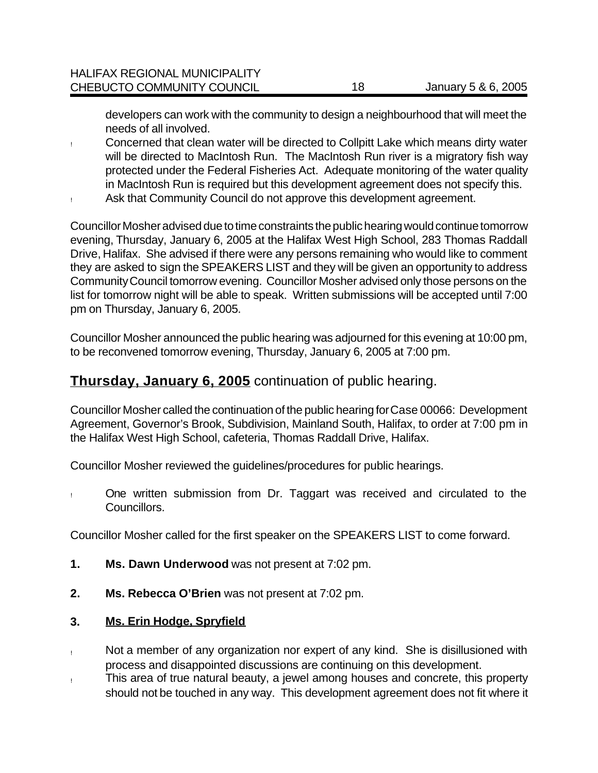developers can work with the community to design a neighbourhood that will meet the needs of all involved.

- ! Concerned that clean water will be directed to Collpitt Lake which means dirty water will be directed to MacIntosh Run. The MacIntosh Run river is a migratory fish way protected under the Federal Fisheries Act. Adequate monitoring of the water quality in MacIntosh Run is required but this development agreement does not specify this.
- ! Ask that Community Council do not approve this development agreement.

Councillor Mosher advised due to time constraints the public hearing would continue tomorrow evening, Thursday, January 6, 2005 at the Halifax West High School, 283 Thomas Raddall Drive, Halifax. She advised if there were any persons remaining who would like to comment they are asked to sign the SPEAKERS LIST and they will be given an opportunity to address Community Council tomorrow evening. Councillor Mosher advised only those persons on the list for tomorrow night will be able to speak. Written submissions will be accepted until 7:00 pm on Thursday, January 6, 2005.

Councillor Mosher announced the public hearing was adjourned for this evening at 10:00 pm, to be reconvened tomorrow evening, Thursday, January 6, 2005 at 7:00 pm.

# **Thursday, January 6, 2005** continuation of public hearing.

Councillor Mosher called the continuation of the public hearing for Case 00066: Development Agreement, Governor's Brook, Subdivision, Mainland South, Halifax, to order at 7:00 pm in the Halifax West High School, cafeteria, Thomas Raddall Drive, Halifax.

Councillor Mosher reviewed the guidelines/procedures for public hearings.

! One written submission from Dr. Taggart was received and circulated to the Councillors.

Councillor Mosher called for the first speaker on the SPEAKERS LIST to come forward.

- **1. Ms. Dawn Underwood** was not present at 7:02 pm.
- **2. Ms. Rebecca O'Brien** was not present at 7:02 pm.

#### **3. Ms. Erin Hodge, Spryfield**

- ! Not a member of any organization nor expert of any kind. She is disillusioned with process and disappointed discussions are continuing on this development.
- ! This area of true natural beauty, a jewel among houses and concrete, this property should not be touched in any way. This development agreement does not fit where it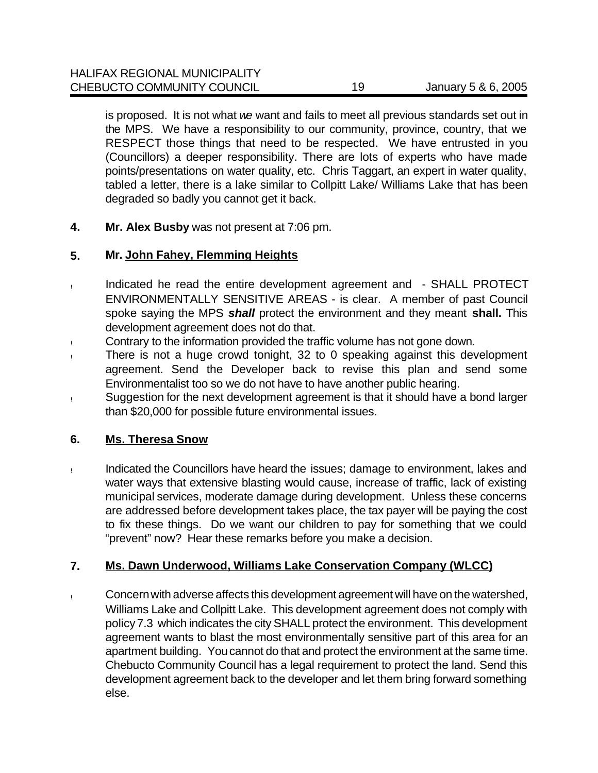is proposed. It is not what *we* want and fails to meet all previous standards set out in the MPS. We have a responsibility to our community, province, country, that we RESPECT those things that need to be respected. We have entrusted in you (Councillors) a deeper responsibility. There are lots of experts who have made points/presentations on water quality, etc. Chris Taggart, an expert in water quality, tabled a letter, there is a lake similar to Collpitt Lake/ Williams Lake that has been degraded so badly you cannot get it back.

**4. Mr. Alex Busby** was not present at 7:06 pm.

#### **5. Mr. John Fahey, Flemming Heights**

- ! Indicated he read the entire development agreement and SHALL PROTECT ENVIRONMENTALLY SENSITIVE AREAS - is clear. A member of past Council spoke saying the MPS *shall* protect the environment and they meant **shall.** This development agreement does not do that.
- ! Contrary to the information provided the traffic volume has not gone down.
- ! There is not a huge crowd tonight, 32 to 0 speaking against this development agreement. Send the Developer back to revise this plan and send some Environmentalist too so we do not have to have another public hearing.
- ! Suggestion for the next development agreement is that it should have a bond larger than \$20,000 for possible future environmental issues.

#### **6. Ms. Theresa Snow**

! Indicated the Councillors have heard the issues; damage to environment, lakes and water ways that extensive blasting would cause, increase of traffic, lack of existing municipal services, moderate damage during development. Unless these concerns are addressed before development takes place, the tax payer will be paying the cost to fix these things. Do we want our children to pay for something that we could "prevent" now? Hear these remarks before you make a decision.

## **7. Ms. Dawn Underwood, Williams Lake Conservation Company (WLCC)**

! Concern with adverse affects this development agreement will have on the watershed, Williams Lake and Collpitt Lake. This development agreement does not comply with policy 7.3 which indicates the city SHALL protect the environment. This development agreement wants to blast the most environmentally sensitive part of this area for an apartment building. You cannot do that and protect the environment at the same time. Chebucto Community Council has a legal requirement to protect the land. Send this development agreement back to the developer and let them bring forward something else.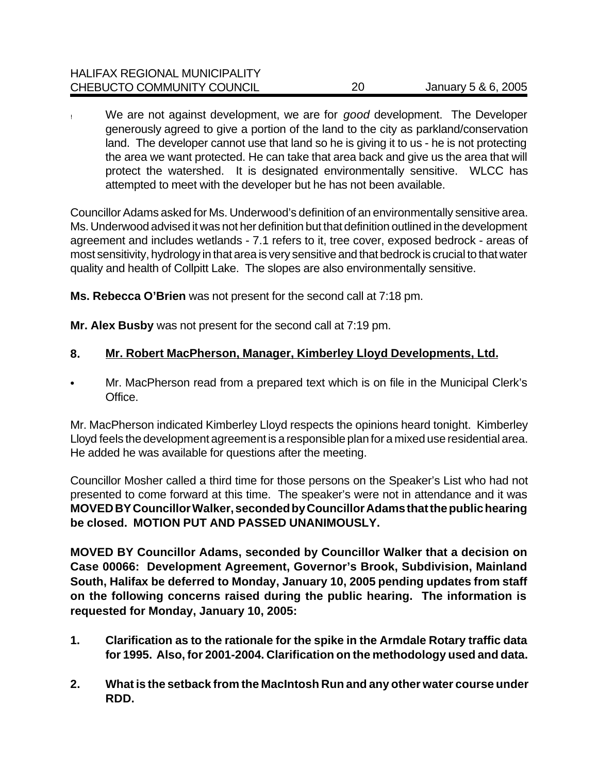| <b>HALIFAX REGIONAL MUNICIPALITY</b> |    |                     |
|--------------------------------------|----|---------------------|
| CHEBUCTO COMMUNITY COUNCIL           | 20 | January 5 & 6, 2005 |

! We are not against development, we are for *good* development. The Developer generously agreed to give a portion of the land to the city as parkland/conservation land. The developer cannot use that land so he is giving it to us - he is not protecting the area we want protected. He can take that area back and give us the area that will protect the watershed. It is designated environmentally sensitive. WLCC has attempted to meet with the developer but he has not been available.

Councillor Adams asked for Ms. Underwood's definition of an environmentally sensitive area. Ms. Underwood advised it was not her definition but that definition outlined in the development agreement and includes wetlands - 7.1 refers to it, tree cover, exposed bedrock - areas of most sensitivity, hydrology in that area is very sensitive and that bedrock is crucial to that water quality and health of Collpitt Lake. The slopes are also environmentally sensitive.

**Ms. Rebecca O'Brien** was not present for the second call at 7:18 pm.

**Mr. Alex Busby** was not present for the second call at 7:19 pm.

## **8. Mr. Robert MacPherson, Manager, Kimberley Lloyd Developments, Ltd.**

• Mr. MacPherson read from a prepared text which is on file in the Municipal Clerk's Office.

Mr. MacPherson indicated Kimberley Lloyd respects the opinions heard tonight. Kimberley Lloyd feels the development agreement is a responsible plan for a mixed use residential area. He added he was available for questions after the meeting.

Councillor Mosher called a third time for those persons on the Speaker's List who had not presented to come forward at this time. The speaker's were not in attendance and it was **MOVED BY Councillor Walker, seconded by Councillor Adams that the public hearing be closed. MOTION PUT AND PASSED UNANIMOUSLY.**

**MOVED BY Councillor Adams, seconded by Councillor Walker that a decision on Case 00066: Development Agreement, Governor's Brook, Subdivision, Mainland South, Halifax be deferred to Monday, January 10, 2005 pending updates from staff on the following concerns raised during the public hearing. The information is requested for Monday, January 10, 2005:** 

- **1. Clarification as to the rationale for the spike in the Armdale Rotary traffic data for 1995. Also, for 2001-2004. Clarification on the methodology used and data.**
- **2. What is the setback from the MacIntosh Run and any other water course under RDD.**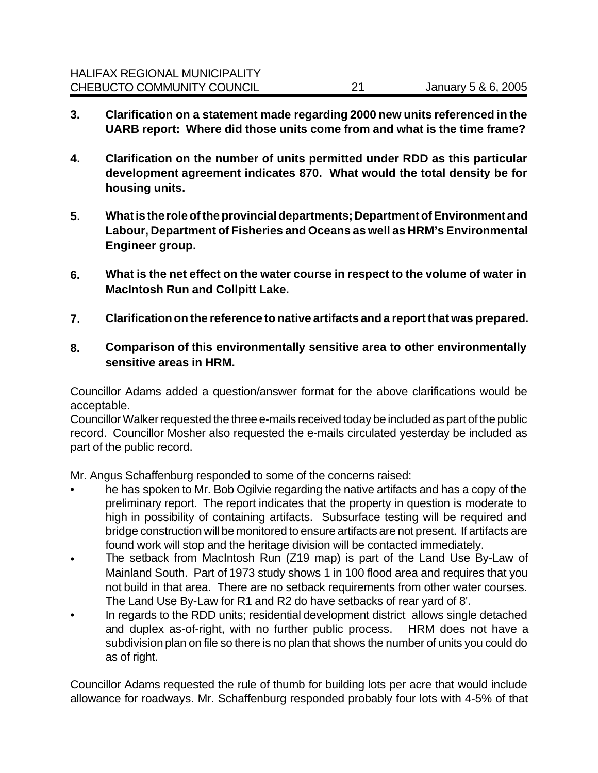- **3. Clarification on a statement made regarding 2000 new units referenced in the UARB report: Where did those units come from and what is the time frame?**
- **4. Clarification on the number of units permitted under RDD as this particular development agreement indicates 870. What would the total density be for housing units.**
- **5. What is the role of the provincial departments; Department of Environment and Labour, Department of Fisheries and Oceans as well as HRM's Environmental Engineer group.**
- **6. What is the net effect on the water course in respect to the volume of water in MacIntosh Run and Collpitt Lake.**
- **7. Clarification on the reference to native artifacts and a report that was prepared.**
- **8. Comparison of this environmentally sensitive area to other environmentally sensitive areas in HRM.**

Councillor Adams added a question/answer format for the above clarifications would be acceptable.

Councillor Walker requested the three e-mails received today be included as part of the public record. Councillor Mosher also requested the e-mails circulated yesterday be included as part of the public record.

Mr. Angus Schaffenburg responded to some of the concerns raised:

- he has spoken to Mr. Bob Ogilvie regarding the native artifacts and has a copy of the preliminary report. The report indicates that the property in question is moderate to high in possibility of containing artifacts. Subsurface testing will be required and bridge construction will be monitored to ensure artifacts are not present. If artifacts are found work will stop and the heritage division will be contacted immediately.
- The setback from MacIntosh Run (Z19 map) is part of the Land Use By-Law of Mainland South. Part of 1973 study shows 1 in 100 flood area and requires that you not build in that area. There are no setback requirements from other water courses. The Land Use By-Law for R1 and R2 do have setbacks of rear yard of 8'.
- In regards to the RDD units; residential development district allows single detached and duplex as-of-right, with no further public process. HRM does not have a subdivision plan on file so there is no plan that shows the number of units you could do as of right.

Councillor Adams requested the rule of thumb for building lots per acre that would include allowance for roadways. Mr. Schaffenburg responded probably four lots with 4-5% of that